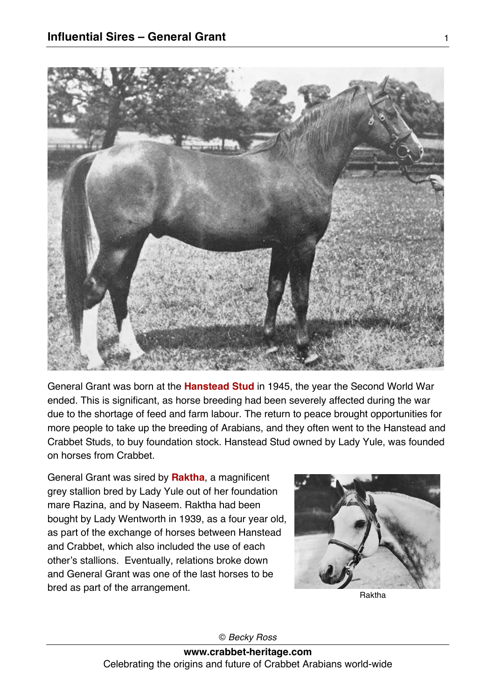

General Grant was born at the **Hanstead Stud** in 1945, the year the Second World War ended. This is significant, as horse breeding had been severely affected during the war due to the shortage of feed and farm labour. The return to peace brought opportunities for more people to take up the breeding of Arabians, and they often went to the Hanstead and Crabbet Studs, to buy foundation stock. Hanstead Stud owned by Lady Yule, was founded on horses from Crabbet.

General Grant was sired by **Raktha**, a magnificent grey stallion bred by Lady Yule out of her foundation mare Razina, and by Naseem. Raktha had been bought by Lady Wentworth in 1939, as a four year old, as part of the exchange of horses between Hanstead and Crabbet, which also included the use of each other's stallions. Eventually, relations broke down and General Grant was one of the last horses to be bred as part of the arrangement.

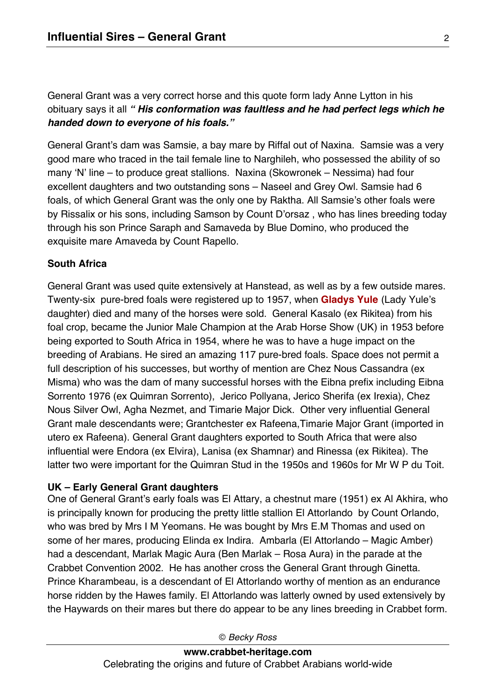General Grant was a very correct horse and this quote form lady Anne Lytton in his obituary says it all *" His conformation was faultless and he had perfect legs which he handed down to everyone of his foals."*

General Grant's dam was Samsie, a bay mare by Riffal out of Naxina. Samsie was a very good mare who traced in the tail female line to Narghileh, who possessed the ability of so many 'N' line – to produce great stallions. Naxina (Skowronek – Nessima) had four excellent daughters and two outstanding sons – Naseel and Grey Owl. Samsie had 6 foals, of which General Grant was the only one by Raktha. All Samsie's other foals were by Rissalix or his sons, including Samson by Count D'orsaz , who has lines breeding today through his son Prince Saraph and Samaveda by Blue Domino, who produced the exquisite mare Amaveda by Count Rapello.

## **South Africa**

General Grant was used quite extensively at Hanstead, as well as by a few outside mares. Twenty-six pure-bred foals were registered up to 1957, when **Gladys Yule** (Lady Yule's daughter) died and many of the horses were sold. General Kasalo (ex Rikitea) from his foal crop, became the Junior Male Champion at the Arab Horse Show (UK) in 1953 before being exported to South Africa in 1954, where he was to have a huge impact on the breeding of Arabians. He sired an amazing 117 pure-bred foals. Space does not permit a full description of his successes, but worthy of mention are Chez Nous Cassandra (ex Misma) who was the dam of many successful horses with the Eibna prefix including Eibna Sorrento 1976 (ex Quimran Sorrento), Jerico Pollyana, Jerico Sherifa (ex Irexia), Chez Nous Silver Owl, Agha Nezmet, and Timarie Major Dick. Other very influential General Grant male descendants were; Grantchester ex Rafeena,Timarie Major Grant (imported in utero ex Rafeena). General Grant daughters exported to South Africa that were also influential were Endora (ex Elvira), Lanisa (ex Shamnar) and Rinessa (ex Rikitea). The latter two were important for the Quimran Stud in the 1950s and 1960s for Mr W P du Toit.

### **UK – Early General Grant daughters**

One of General Grant's early foals was El Attary, a chestnut mare (1951) ex Al Akhira, who is principally known for producing the pretty little stallion El Attorlando by Count Orlando, who was bred by Mrs I M Yeomans. He was bought by Mrs E.M Thomas and used on some of her mares, producing Elinda ex Indira. Ambarla (El Attorlando – Magic Amber) had a descendant, Marlak Magic Aura (Ben Marlak – Rosa Aura) in the parade at the Crabbet Convention 2002. He has another cross the General Grant through Ginetta. Prince Kharambeau, is a descendant of El Attorlando worthy of mention as an endurance horse ridden by the Hawes family. El Attorlando was latterly owned by used extensively by the Haywards on their mares but there do appear to be any lines breeding in Crabbet form.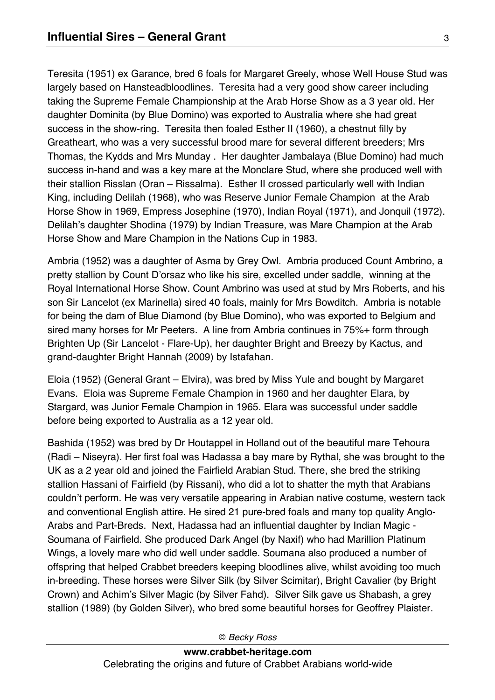Teresita (1951) ex Garance, bred 6 foals for Margaret Greely, whose Well House Stud was largely based on Hansteadbloodlines. Teresita had a very good show career including taking the Supreme Female Championship at the Arab Horse Show as a 3 year old. Her daughter Dominita (by Blue Domino) was exported to Australia where she had great success in the show-ring. Teresita then foaled Esther II (1960), a chestnut filly by Greatheart, who was a very successful brood mare for several different breeders; Mrs Thomas, the Kydds and Mrs Munday . Her daughter Jambalaya (Blue Domino) had much success in-hand and was a key mare at the Monclare Stud, where she produced well with their stallion Risslan (Oran – Rissalma). Esther II crossed particularly well with Indian King, including Delilah (1968), who was Reserve Junior Female Champion at the Arab Horse Show in 1969, Empress Josephine (1970), Indian Royal (1971), and Jonquil (1972). Delilah's daughter Shodina (1979) by Indian Treasure, was Mare Champion at the Arab Horse Show and Mare Champion in the Nations Cup in 1983.

Ambria (1952) was a daughter of Asma by Grey Owl. Ambria produced Count Ambrino, a pretty stallion by Count D'orsaz who like his sire, excelled under saddle, winning at the Royal International Horse Show. Count Ambrino was used at stud by Mrs Roberts, and his son Sir Lancelot (ex Marinella) sired 40 foals, mainly for Mrs Bowditch. Ambria is notable for being the dam of Blue Diamond (by Blue Domino), who was exported to Belgium and sired many horses for Mr Peeters. A line from Ambria continues in 75%+ form through Brighten Up (Sir Lancelot - Flare-Up), her daughter Bright and Breezy by Kactus, and grand-daughter Bright Hannah (2009) by Istafahan.

Eloia (1952) (General Grant – Elvira), was bred by Miss Yule and bought by Margaret Evans. Eloia was Supreme Female Champion in 1960 and her daughter Elara, by Stargard, was Junior Female Champion in 1965. Elara was successful under saddle before being exported to Australia as a 12 year old.

Bashida (1952) was bred by Dr Houtappel in Holland out of the beautiful mare Tehoura (Radi – Niseyra). Her first foal was Hadassa a bay mare by Rythal, she was brought to the UK as a 2 year old and joined the Fairfield Arabian Stud. There, she bred the striking stallion Hassani of Fairfield (by Rissani), who did a lot to shatter the myth that Arabians couldn't perform. He was very versatile appearing in Arabian native costume, western tack and conventional English attire. He sired 21 pure-bred foals and many top quality Anglo-Arabs and Part-Breds. Next, Hadassa had an influential daughter by Indian Magic - Soumana of Fairfield. She produced Dark Angel (by Naxif) who had Marillion Platinum Wings, a lovely mare who did well under saddle. Soumana also produced a number of offspring that helped Crabbet breeders keeping bloodlines alive, whilst avoiding too much in-breeding. These horses were Silver Silk (by Silver Scimitar), Bright Cavalier (by Bright Crown) and Achim's Silver Magic (by Silver Fahd). Silver Silk gave us Shabash, a grey stallion (1989) (by Golden Silver), who bred some beautiful horses for Geoffrey Plaister.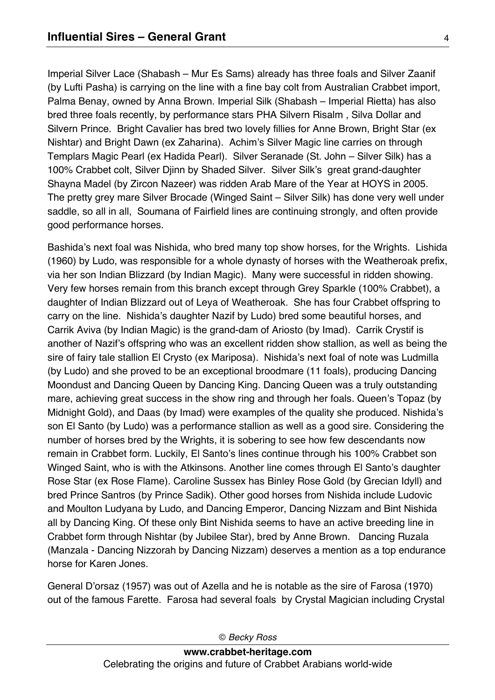Imperial Silver Lace (Shabash – Mur Es Sams) already has three foals and Silver Zaanif (by Lufti Pasha) is carrying on the line with a fine bay colt from Australian Crabbet import, Palma Benay, owned by Anna Brown. Imperial Silk (Shabash – Imperial Rietta) has also bred three foals recently, by performance stars PHA Silvern Risalm , Silva Dollar and Silvern Prince. Bright Cavalier has bred two lovely fillies for Anne Brown, Bright Star (ex Nishtar) and Bright Dawn (ex Zaharina). Achim's Silver Magic line carries on through Templars Magic Pearl (ex Hadida Pearl). Silver Seranade (St. John – Silver Silk) has a 100% Crabbet colt, Silver Djinn by Shaded Silver. Silver Silk's great grand-daughter Shayna Madel (by Zircon Nazeer) was ridden Arab Mare of the Year at HOYS in 2005. The pretty grey mare Silver Brocade (Winged Saint – Silver Silk) has done very well under saddle, so all in all, Soumana of Fairfield lines are continuing strongly, and often provide good performance horses.

Bashida's next foal was Nishida, who bred many top show horses, for the Wrights. Lishida (1960) by Ludo, was responsible for a whole dynasty of horses with the Weatheroak prefix, via her son Indian Blizzard (by Indian Magic). Many were successful in ridden showing. Very few horses remain from this branch except through Grey Sparkle (100% Crabbet), a daughter of Indian Blizzard out of Leya of Weatheroak. She has four Crabbet offspring to carry on the line. Nishida's daughter Nazif by Ludo) bred some beautiful horses, and Carrik Aviva (by Indian Magic) is the grand-dam of Ariosto (by Imad). Carrik Crystif is another of Nazif's offspring who was an excellent ridden show stallion, as well as being the sire of fairy tale stallion El Crysto (ex Mariposa). Nishida's next foal of note was Ludmilla (by Ludo) and she proved to be an exceptional broodmare (11 foals), producing Dancing Moondust and Dancing Queen by Dancing King. Dancing Queen was a truly outstanding mare, achieving great success in the show ring and through her foals. Queen's Topaz (by Midnight Gold), and Daas (by Imad) were examples of the quality she produced. Nishida's son El Santo (by Ludo) was a performance stallion as well as a good sire. Considering the number of horses bred by the Wrights, it is sobering to see how few descendants now remain in Crabbet form. Luckily, El Santo's lines continue through his 100% Crabbet son Winged Saint, who is with the Atkinsons. Another line comes through El Santo's daughter Rose Star (ex Rose Flame). Caroline Sussex has Binley Rose Gold (by Grecian Idyll) and bred Prince Santros (by Prince Sadik). Other good horses from Nishida include Ludovic and Moulton Ludyana by Ludo, and Dancing Emperor, Dancing Nizzam and Bint Nishida all by Dancing King. Of these only Bint Nishida seems to have an active breeding line in Crabbet form through Nishtar (by Jubilee Star), bred by Anne Brown. Dancing Ruzala (Manzala - Dancing Nizzorah by Dancing Nizzam) deserves a mention as a top endurance horse for Karen Jones.

General D'orsaz (1957) was out of Azella and he is notable as the sire of Farosa (1970) out of the famous Farette. Farosa had several foals by Crystal Magician including Crystal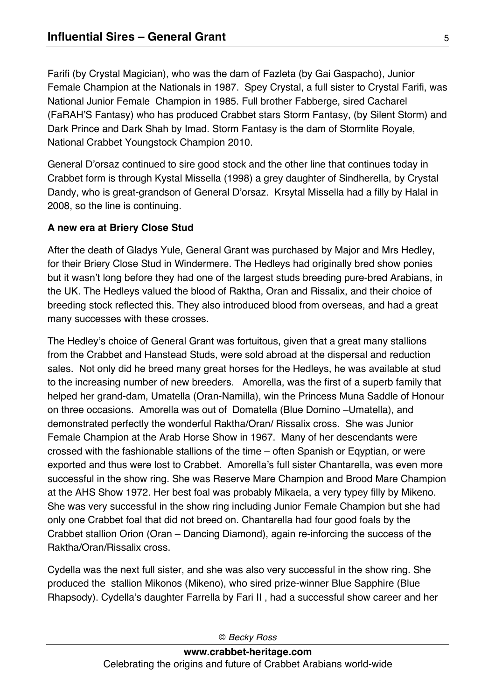Farifi (by Crystal Magician), who was the dam of Fazleta (by Gai Gaspacho), Junior Female Champion at the Nationals in 1987. Spey Crystal, a full sister to Crystal Farifi, was National Junior Female Champion in 1985. Full brother Fabberge, sired Cacharel (FaRAH'S Fantasy) who has produced Crabbet stars Storm Fantasy, (by Silent Storm) and Dark Prince and Dark Shah by Imad. Storm Fantasy is the dam of Stormlite Royale, National Crabbet Youngstock Champion 2010.

General D'orsaz continued to sire good stock and the other line that continues today in Crabbet form is through Kystal Missella (1998) a grey daughter of Sindherella, by Crystal Dandy, who is great-grandson of General D'orsaz. Krsytal Missella had a filly by Halal in 2008, so the line is continuing.

## **A new era at Briery Close Stud**

After the death of Gladys Yule, General Grant was purchased by Major and Mrs Hedley, for their Briery Close Stud in Windermere. The Hedleys had originally bred show ponies but it wasn't long before they had one of the largest studs breeding pure-bred Arabians, in the UK. The Hedleys valued the blood of Raktha, Oran and Rissalix, and their choice of breeding stock reflected this. They also introduced blood from overseas, and had a great many successes with these crosses.

The Hedley's choice of General Grant was fortuitous, given that a great many stallions from the Crabbet and Hanstead Studs, were sold abroad at the dispersal and reduction sales. Not only did he breed many great horses for the Hedleys, he was available at stud to the increasing number of new breeders. Amorella, was the first of a superb family that helped her grand-dam, Umatella (Oran-Namilla), win the Princess Muna Saddle of Honour on three occasions. Amorella was out of Domatella (Blue Domino –Umatella), and demonstrated perfectly the wonderful Raktha/Oran/ Rissalix cross. She was Junior Female Champion at the Arab Horse Show in 1967. Many of her descendants were crossed with the fashionable stallions of the time – often Spanish or Eqyptian, or were exported and thus were lost to Crabbet. Amorella's full sister Chantarella, was even more successful in the show ring. She was Reserve Mare Champion and Brood Mare Champion at the AHS Show 1972. Her best foal was probably Mikaela, a very typey filly by Mikeno. She was very successful in the show ring including Junior Female Champion but she had only one Crabbet foal that did not breed on. Chantarella had four good foals by the Crabbet stallion Orion (Oran – Dancing Diamond), again re-inforcing the success of the Raktha/Oran/Rissalix cross.

Cydella was the next full sister, and she was also very successful in the show ring. She produced the stallion Mikonos (Mikeno), who sired prize-winner Blue Sapphire (Blue Rhapsody). Cydella's daughter Farrella by Fari II , had a successful show career and her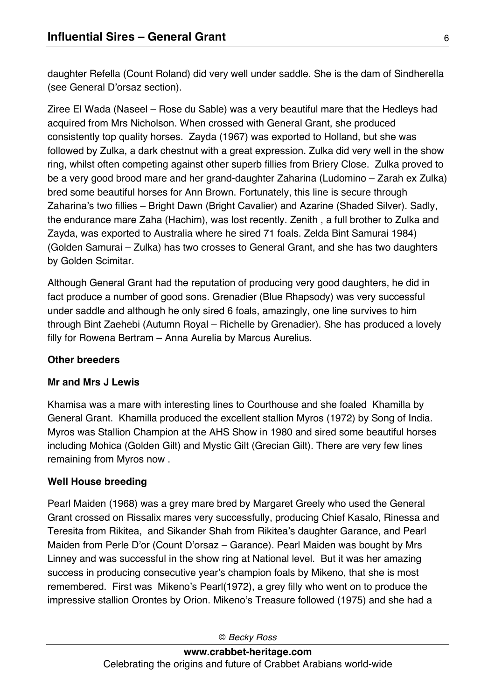daughter Refella (Count Roland) did very well under saddle. She is the dam of Sindherella (see General D'orsaz section).

Ziree El Wada (Naseel – Rose du Sable) was a very beautiful mare that the Hedleys had acquired from Mrs Nicholson. When crossed with General Grant, she produced consistently top quality horses. Zayda (1967) was exported to Holland, but she was followed by Zulka, a dark chestnut with a great expression. Zulka did very well in the show ring, whilst often competing against other superb fillies from Briery Close. Zulka proved to be a very good brood mare and her grand-daughter Zaharina (Ludomino – Zarah ex Zulka) bred some beautiful horses for Ann Brown. Fortunately, this line is secure through Zaharina's two fillies – Bright Dawn (Bright Cavalier) and Azarine (Shaded Silver). Sadly, the endurance mare Zaha (Hachim), was lost recently. Zenith , a full brother to Zulka and Zayda, was exported to Australia where he sired 71 foals. Zelda Bint Samurai 1984) (Golden Samurai – Zulka) has two crosses to General Grant, and she has two daughters by Golden Scimitar.

Although General Grant had the reputation of producing very good daughters, he did in fact produce a number of good sons. Grenadier (Blue Rhapsody) was very successful under saddle and although he only sired 6 foals, amazingly, one line survives to him through Bint Zaehebi (Autumn Royal – Richelle by Grenadier). She has produced a lovely filly for Rowena Bertram – Anna Aurelia by Marcus Aurelius.

## **Other breeders**

### **Mr and Mrs J Lewis**

Khamisa was a mare with interesting lines to Courthouse and she foaled Khamilla by General Grant. Khamilla produced the excellent stallion Myros (1972) by Song of India. Myros was Stallion Champion at the AHS Show in 1980 and sired some beautiful horses including Mohica (Golden Gilt) and Mystic Gilt (Grecian Gilt). There are very few lines remaining from Myros now .

## **Well House breeding**

Pearl Maiden (1968) was a grey mare bred by Margaret Greely who used the General Grant crossed on Rissalix mares very successfully, producing Chief Kasalo, Rinessa and Teresita from Rikitea, and Sikander Shah from Rikitea's daughter Garance, and Pearl Maiden from Perle D'or (Count D'orsaz – Garance). Pearl Maiden was bought by Mrs Linney and was successful in the show ring at National level. But it was her amazing success in producing consecutive year's champion foals by Mikeno, that she is most remembered. First was Mikeno's Pearl(1972), a grey filly who went on to produce the impressive stallion Orontes by Orion. Mikeno's Treasure followed (1975) and she had a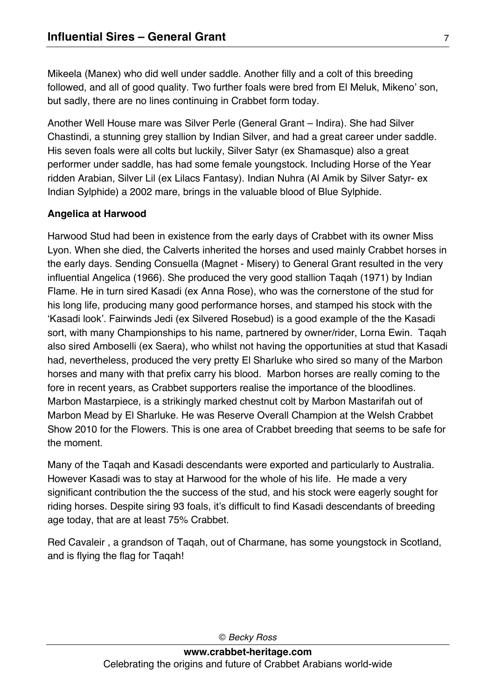Mikeela (Manex) who did well under saddle. Another filly and a colt of this breeding followed, and all of good quality. Two further foals were bred from El Meluk, Mikeno' son, but sadly, there are no lines continuing in Crabbet form today.

Another Well House mare was Silver Perle (General Grant – Indira). She had Silver Chastindi, a stunning grey stallion by Indian Silver, and had a great career under saddle. His seven foals were all colts but luckily, Silver Satyr (ex Shamasque) also a great performer under saddle, has had some female youngstock. Including Horse of the Year ridden Arabian, Silver Lil (ex Lilacs Fantasy). Indian Nuhra (Al Amik by Silver Satyr- ex Indian Sylphide) a 2002 mare, brings in the valuable blood of Blue Sylphide.

# **Angelica at Harwood**

Harwood Stud had been in existence from the early days of Crabbet with its owner Miss Lyon. When she died, the Calverts inherited the horses and used mainly Crabbet horses in the early days. Sending Consuella (Magnet - Misery) to General Grant resulted in the very influential Angelica (1966). She produced the very good stallion Taqah (1971) by Indian Flame. He in turn sired Kasadi (ex Anna Rose), who was the cornerstone of the stud for his long life, producing many good performance horses, and stamped his stock with the 'Kasadi look'. Fairwinds Jedi (ex Silvered Rosebud) is a good example of the the Kasadi sort, with many Championships to his name, partnered by owner/rider, Lorna Ewin. Taqah also sired Amboselli (ex Saera), who whilst not having the opportunities at stud that Kasadi had, nevertheless, produced the very pretty El Sharluke who sired so many of the Marbon horses and many with that prefix carry his blood. Marbon horses are really coming to the fore in recent years, as Crabbet supporters realise the importance of the bloodlines. Marbon Mastarpiece, is a strikingly marked chestnut colt by Marbon Mastarifah out of Marbon Mead by El Sharluke. He was Reserve Overall Champion at the Welsh Crabbet Show 2010 for the Flowers. This is one area of Crabbet breeding that seems to be safe for the moment.

Many of the Taqah and Kasadi descendants were exported and particularly to Australia. However Kasadi was to stay at Harwood for the whole of his life. He made a very significant contribution the the success of the stud, and his stock were eagerly sought for riding horses. Despite siring 93 foals, it's difficult to find Kasadi descendants of breeding age today, that are at least 75% Crabbet.

Red Cavaleir , a grandson of Taqah, out of Charmane, has some youngstock in Scotland, and is flying the flag for Taqah!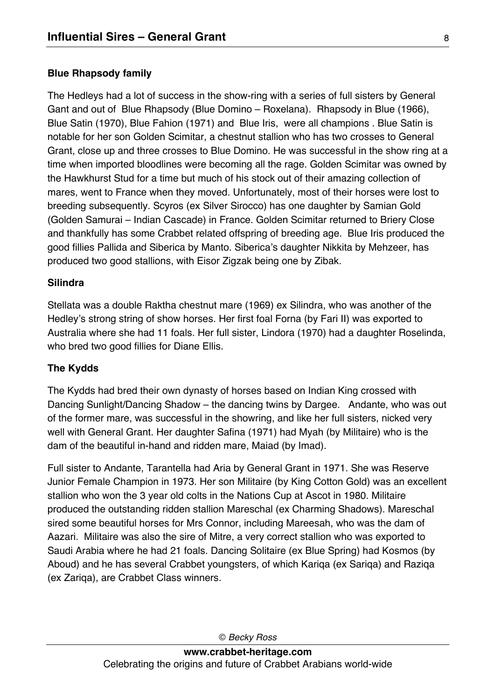### **Blue Rhapsody family**

The Hedleys had a lot of success in the show-ring with a series of full sisters by General Gant and out of Blue Rhapsody (Blue Domino – Roxelana). Rhapsody in Blue (1966), Blue Satin (1970), Blue Fahion (1971) and Blue Iris, were all champions . Blue Satin is notable for her son Golden Scimitar, a chestnut stallion who has two crosses to General Grant, close up and three crosses to Blue Domino. He was successful in the show ring at a time when imported bloodlines were becoming all the rage. Golden Scimitar was owned by the Hawkhurst Stud for a time but much of his stock out of their amazing collection of mares, went to France when they moved. Unfortunately, most of their horses were lost to breeding subsequently. Scyros (ex Silver Sirocco) has one daughter by Samian Gold (Golden Samurai – Indian Cascade) in France. Golden Scimitar returned to Briery Close and thankfully has some Crabbet related offspring of breeding age. Blue Iris produced the good fillies Pallida and Siberica by Manto. Siberica's daughter Nikkita by Mehzeer, has produced two good stallions, with Eisor Zigzak being one by Zibak.

#### **Silindra**

Stellata was a double Raktha chestnut mare (1969) ex Silindra, who was another of the Hedley's strong string of show horses. Her first foal Forna (by Fari II) was exported to Australia where she had 11 foals. Her full sister, Lindora (1970) had a daughter Roselinda, who bred two good fillies for Diane Ellis.

### **The Kydds**

The Kydds had bred their own dynasty of horses based on Indian King crossed with Dancing Sunlight/Dancing Shadow – the dancing twins by Dargee. Andante, who was out of the former mare, was successful in the showring, and like her full sisters, nicked very well with General Grant. Her daughter Safina (1971) had Myah (by Militaire) who is the dam of the beautiful in-hand and ridden mare, Maiad (by Imad).

Full sister to Andante, Tarantella had Aria by General Grant in 1971. She was Reserve Junior Female Champion in 1973. Her son Militaire (by King Cotton Gold) was an excellent stallion who won the 3 year old colts in the Nations Cup at Ascot in 1980. Militaire produced the outstanding ridden stallion Mareschal (ex Charming Shadows). Mareschal sired some beautiful horses for Mrs Connor, including Mareesah, who was the dam of Aazari. Militaire was also the sire of Mitre, a very correct stallion who was exported to Saudi Arabia where he had 21 foals. Dancing Solitaire (ex Blue Spring) had Kosmos (by Aboud) and he has several Crabbet youngsters, of which Kariqa (ex Sariqa) and Raziqa (ex Zariqa), are Crabbet Class winners.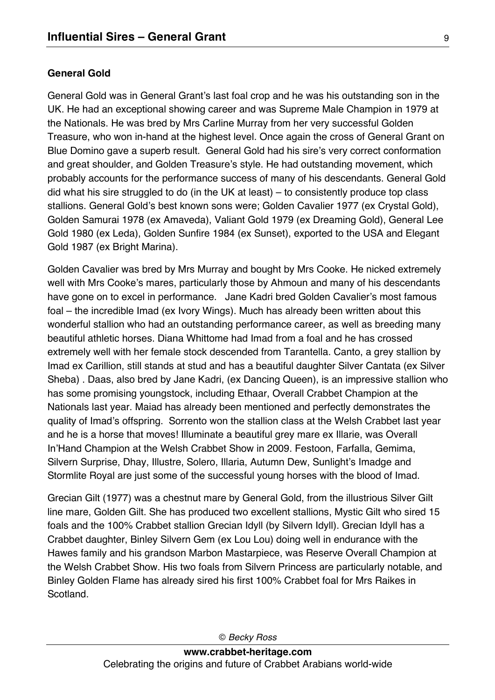## **General Gold**

General Gold was in General Grant's last foal crop and he was his outstanding son in the UK. He had an exceptional showing career and was Supreme Male Champion in 1979 at the Nationals. He was bred by Mrs Carline Murray from her very successful Golden Treasure, who won in-hand at the highest level. Once again the cross of General Grant on Blue Domino gave a superb result. General Gold had his sire's very correct conformation and great shoulder, and Golden Treasure's style. He had outstanding movement, which probably accounts for the performance success of many of his descendants. General Gold did what his sire struggled to do (in the UK at least) – to consistently produce top class stallions. General Gold's best known sons were; Golden Cavalier 1977 (ex Crystal Gold), Golden Samurai 1978 (ex Amaveda), Valiant Gold 1979 (ex Dreaming Gold), General Lee Gold 1980 (ex Leda), Golden Sunfire 1984 (ex Sunset), exported to the USA and Elegant Gold 1987 (ex Bright Marina).

Golden Cavalier was bred by Mrs Murray and bought by Mrs Cooke. He nicked extremely well with Mrs Cooke's mares, particularly those by Ahmoun and many of his descendants have gone on to excel in performance. Jane Kadri bred Golden Cavalier's most famous foal – the incredible Imad (ex Ivory Wings). Much has already been written about this wonderful stallion who had an outstanding performance career, as well as breeding many beautiful athletic horses. Diana Whittome had Imad from a foal and he has crossed extremely well with her female stock descended from Tarantella. Canto, a grey stallion by Imad ex Carillion, still stands at stud and has a beautiful daughter Silver Cantata (ex Silver Sheba) . Daas, also bred by Jane Kadri, (ex Dancing Queen), is an impressive stallion who has some promising youngstock, including Ethaar, Overall Crabbet Champion at the Nationals last year. Maiad has already been mentioned and perfectly demonstrates the quality of Imad's offspring. Sorrento won the stallion class at the Welsh Crabbet last year and he is a horse that moves! Illuminate a beautiful grey mare ex Illarie, was Overall In'Hand Champion at the Welsh Crabbet Show in 2009. Festoon, Farfalla, Gemima, Silvern Surprise, Dhay, Illustre, Solero, Illaria, Autumn Dew, Sunlight's Imadge and Stormlite Royal are just some of the successful young horses with the blood of Imad.

Grecian Gilt (1977) was a chestnut mare by General Gold, from the illustrious Silver Gilt line mare, Golden Gilt. She has produced two excellent stallions, Mystic Gilt who sired 15 foals and the 100% Crabbet stallion Grecian Idyll (by Silvern Idyll). Grecian Idyll has a Crabbet daughter, Binley Silvern Gem (ex Lou Lou) doing well in endurance with the Hawes family and his grandson Marbon Mastarpiece, was Reserve Overall Champion at the Welsh Crabbet Show. His two foals from Silvern Princess are particularly notable, and Binley Golden Flame has already sired his first 100% Crabbet foal for Mrs Raikes in Scotland.